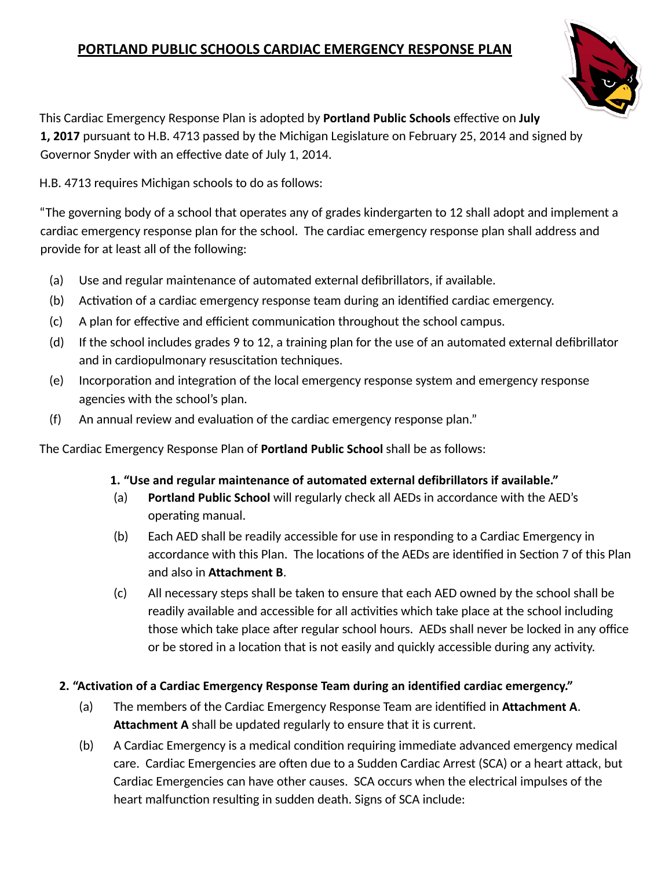# **PORTLAND PUBLIC SCHOOLS CARDIAC EMERGENCY RESPONSE PLAN**



This Cardiac Emergency Response Plan is adopted by **Portland Public Schools** effective on **July 1, 2017** pursuant to H.B. 4713 passed by the Michigan Legislature on February 25, 2014 and signed by Governor Snyder with an effective date of July 1, 2014.

H.B. 4713 requires Michigan schools to do as follows:

"The governing body of a school that operates any of grades kindergarten to 12 shall adopt and implement a cardiac emergency response plan for the school. The cardiac emergency response plan shall address and provide for at least all of the following:

- (a) Use and regular maintenance of automated external defibrillators, if available.
- (b) Activation of a cardiac emergency response team during an identified cardiac emergency.
- $(c)$  A plan for effective and efficient communication throughout the school campus.
- (d) If the school includes grades 9 to 12, a training plan for the use of an automated external defibrillator and in cardiopulmonary resuscitation techniques.
- (e) Incorporation and integration of the local emergency response system and emergency response agencies with the school's plan.
- $(f)$  An annual review and evaluation of the cardiac emergency response plan."

The Cardiac Emergency Response Plan of **Portland Public School** shall be as follows:

### **1. "Use and regular maintenance of automated external defibrillators if available."**

- (a) **Portland Public School** will regularly check all AEDs in accordance with the AED's operating manual.
- (b) Each AED shall be readily accessible for use in responding to a Cardiac Emergency in accordance with this Plan. The locations of the AEDs are identified in Section 7 of this Plan and also in **Attachment B** .
- (c) All necessary steps shall be taken to ensure that each AED owned by the school shall be readily available and accessible for all activities which take place at the school including those which take place after regular school hours. AEDs shall never be locked in any office or be stored in a location that is not easily and quickly accessible during any activity.

## **2. "Activation of a Cardiac Emergency Response Team during an identified cardiac emergency."**

- (a) The members of the Cardiac Emergency Response Team are idenfied in **Attachment A** . **Attachment A** shall be updated regularly to ensure that it is current.
- (b) A Cardiac Emergency is a medical condition requiring immediate advanced emergency medical care. Cardiac Emergencies are often due to a Sudden Cardiac Arrest (SCA) or a heart attack, but Cardiac Emergencies can have other causes. SCA occurs when the electrical impulses of the heart malfunction resulting in sudden death. Signs of SCA include: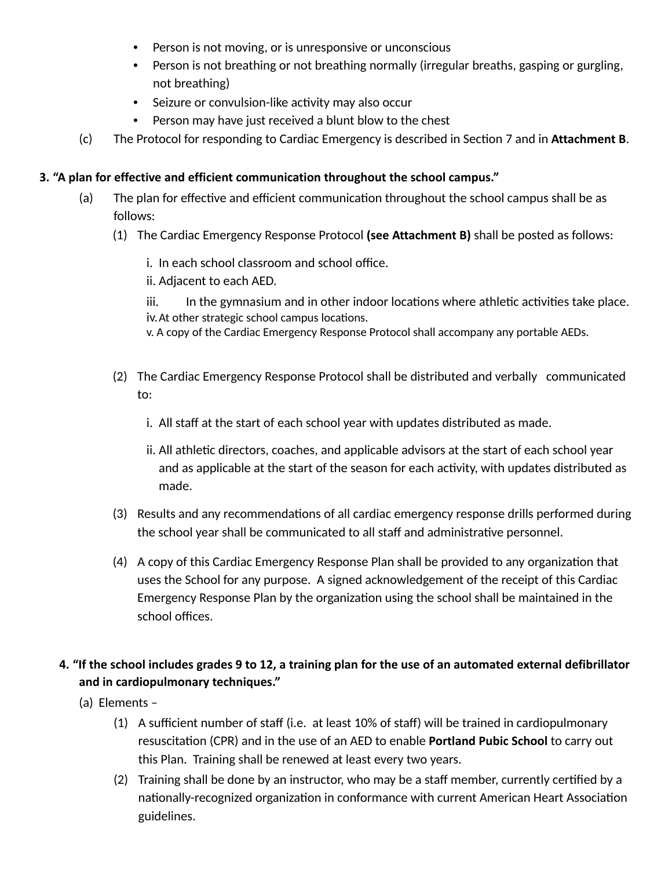- Person is not moving, or is unresponsive or unconscious
- Person is not breathing or not breathing normally (irregular breaths, gasping or gurgling, not breathing)
- Seizure or convulsion-like activity may also occur
- Person may have just received a blunt blow to the chest
- (c) The Protocol for responding to Cardiac Emergency is described in Section 7 and in **Attachment B**.

### **3. "A plan for effective and efficient communication throughout the school campus."**

- $(a)$  The plan for effective and efficient communication throughout the school campus shall be as follows:
	- (1) The Cardiac Emergency Response Protocol **(see Attachment B)** shall be posted as follows:
		- i. In each school classroom and school office.

ii. Adjacent to each AED.

iii. In the gymnasium and in other indoor locations where athletic activities take place. iv. At other strategic school campus locations.

v. A copy of the Cardiac Emergency Response Protocol shall accompany any portable AEDs.

- (2) The Cardiac Emergency Response Protocol shall be distributed and verbally communicated to:
	- i. All staff at the start of each school year with updates distributed as made.
	- ii. All athletic directors, coaches, and applicable advisors at the start of each school year and as applicable at the start of the season for each activity, with updates distributed as made.
- (3) Results and any recommendations of all cardiac emergency response drills performed during the school year shall be communicated to all staff and administrative personnel.
- (4) A copy of this Cardiac Emergency Response Plan shall be provided to any organization that uses the School for any purpose. A signed acknowledgement of the receipt of this Cardiac Emergency Response Plan by the organization using the school shall be maintained in the school offices.

## **4. "If the school includes grades 9 to 12, a training plan for the use of an automated external defibrillator and in cardiopulmonary techniques."**

- (a) Elements
	- (1) A sufficient number of staff (i.e. at least 10% of staff) will be trained in cardiopulmonary resuscitation (CPR) and in the use of an AED to enable **Portland Pubic School** to carry out this Plan. Training shall be renewed at least every two years.
	- (2) Training shall be done by an instructor, who may be a staff member, currently cerfied by a nationally-recognized organization in conformance with current American Heart Association guidelines.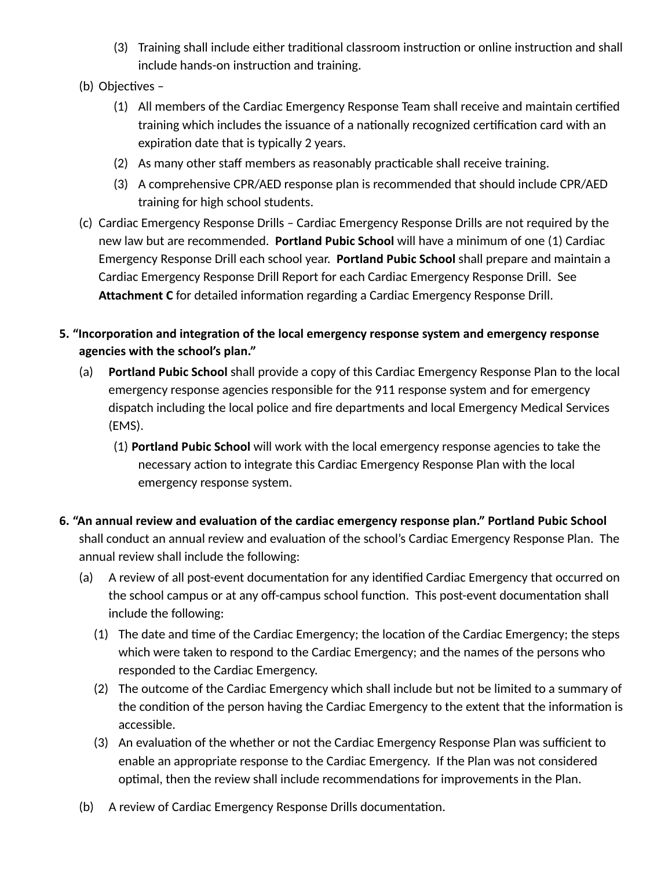- (3) Training shall include either traditional classroom instruction or online instruction and shall include hands-on instruction and training.
- (b) Objectives -
	- (1) All members of the Cardiac Emergency Response Team shall receive and maintain cerfied training which includes the issuance of a nationally recognized certification card with an expiration date that is typically 2 years.
	- $(2)$  As many other staff members as reasonably practicable shall receive training.
	- (3) A comprehensive CPR/AED response plan is recommended that should include CPR/AED training for high school students.
- (c) Cardiac Emergency Response Drills Cardiac Emergency Response Drills are not required by the new law but are recommended. **Portland Pubic School** will have a minimum of one (1) Cardiac Emergency Response Drill each school year. **Portland Pubic School** shall prepare and maintain a Cardiac Emergency Response Drill Report for each Cardiac Emergency Response Drill. See Attachment C for detailed information regarding a Cardiac Emergency Response Drill.

## **5. "Incorporation and integration of the local emergency response system and emergency response agencies with the school's plan."**

- (a) **Portland Pubic School** shall provide a copy of this Cardiac Emergency Response Plan to the local emergency response agencies responsible for the 911 response system and for emergency dispatch including the local police and fire departments and local Emergency Medical Services (EMS).
	- (1) **Portland Pubic School** will work with the local emergency response agencies to take the necessary action to integrate this Cardiac Emergency Response Plan with the local emergency response system.

## **6. "An annual review and evaluation of the cardiac emergency response plan." Portland Pubic School** shall conduct an annual review and evaluation of the school's Cardiac Emergency Response Plan. The annual review shall include the following:

- (a) A review of all post-event documentation for any identified Cardiac Emergency that occurred on the school campus or at any off-campus school function. This post-event documentation shall include the following:
	- (1) The date and time of the Cardiac Emergency; the location of the Cardiac Emergency; the steps which were taken to respond to the Cardiac Emergency; and the names of the persons who responded to the Cardiac Emergency.
	- (2) The outcome of the Cardiac Emergency which shall include but not be limited to a summary of the condition of the person having the Cardiac Emergency to the extent that the information is accessible.
	- (3) An evaluation of the whether or not the Cardiac Emergency Response Plan was sufficient to enable an appropriate response to the Cardiac Emergency. If the Plan was not considered optimal, then the review shall include recommendations for improvements in the Plan.
- (b) A review of Cardiac Emergency Response Drills documentation.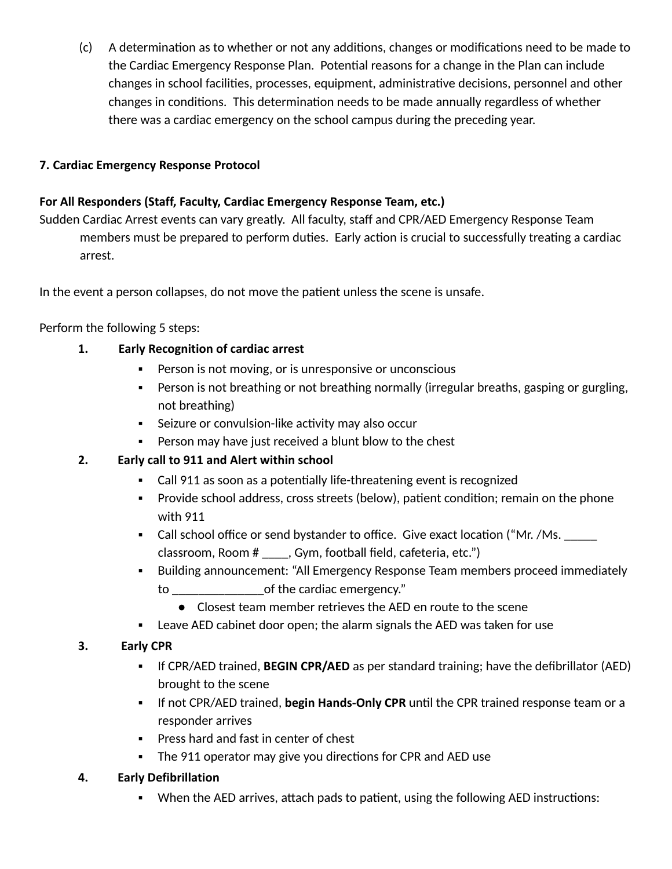(c) A determination as to whether or not any additions, changes or modifications need to be made to the Cardiac Emergency Response Plan. Potential reasons for a change in the Plan can include changes in school facilities, processes, equipment, administrative decisions, personnel and other changes in conditions. This determination needs to be made annually regardless of whether there was a cardiac emergency on the school campus during the preceding year.

## **7. Cardiac Emergency Response Protocol**

### **For All Responders (Staff, Faculty, Cardiac Emergency Response Team, etc.)**

Sudden Cardiac Arrest events can vary greatly. All faculty, staff and CPR/AED Emergency Response Team members must be prepared to perform duties. Early action is crucial to successfully treating a cardiac arrest.

In the event a person collapses, do not move the patient unless the scene is unsafe.

Perform the following 5 steps:

### **1. Early Recognition of cardiac arrest**

- Person is not moving, or is unresponsive or unconscious
- **•** Person is not breathing or not breathing normally (irregular breaths, gasping or gurgling, not breathing)
- Seizure or convulsion-like activity may also occur
- Person may have just received a blunt blow to the chest

## **2. Early call to 911 and Alert within school**

- Call 911 as soon as a potentially life-threatening event is recognized
- Provide school address, cross streets (below), patient condition; remain on the phone with 911
- Call school office or send bystander to office. Give exact location ("Mr. /Ms. \_\_\_\_\_ classroom, Room # \_\_\_\_, Gym, football field, cafeteria, etc.")
- Building announcement: "All Emergency Response Team members proceed immediately to \_\_\_\_\_\_\_\_\_\_\_\_\_\_of the cardiac emergency."
	- Closest team member retrieves the AED en route to the scene
- **EXELG** 20 ELED cabinet door open; the alarm signals the AED was taken for use

## **3. Early CPR**

- If CPR/AED trained, **BEGIN CPR/AED** as per standard training; have the defibrillator (AED) brought to the scene
- **.** If not CPR/AED trained, begin Hands-Only CPR until the CPR trained response team or a responder arrives
- Press hard and fast in center of chest
- The 911 operator may give you directions for CPR and AED use

### **4. Early Defibrillation**

• When the AED arrives, attach pads to patient, using the following AED instructions: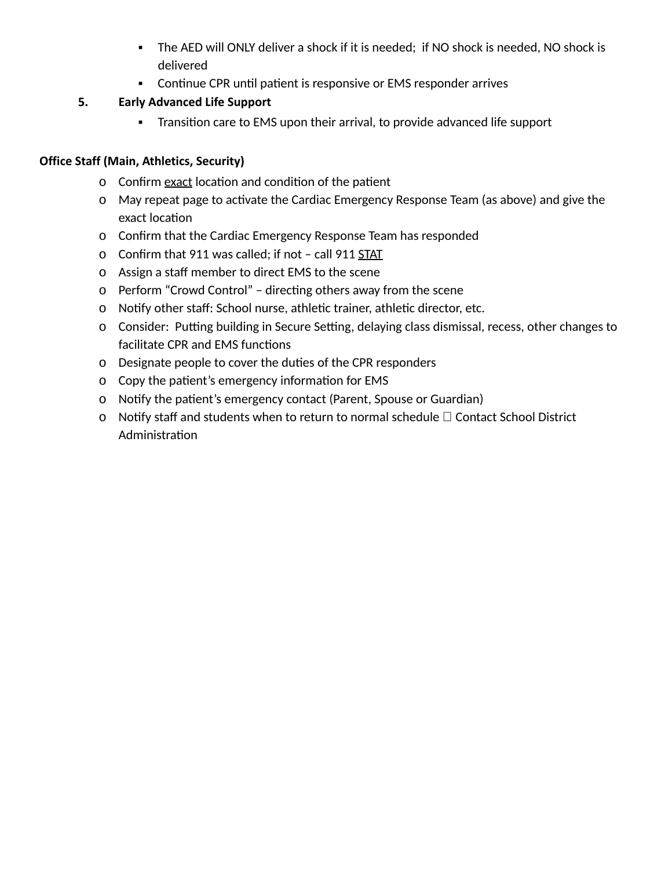- The AED will ONLY deliver a shock if it is needed; if NO shock is needed, NO shock is delivered
- Continue CPR until patient is responsive or EMS responder arrives

## **5. Early Advanced Life Support**

■ Transition care to EMS upon their arrival, to provide advanced life support

## **Office Staff (Main, Athletics, Security)**

- o Confirm exact location and condition of the patient
- o May repeat page to activate the Cardiac Emergency Response Team (as above) and give the exact location
- o Confirm that the Cardiac Emergency Response Team has responded
- o Confirm that 911 was called; if not call 911 STAT
- o Assign a staff member to direct EMS to the scene
- o Perform "Crowd Control" directing others away from the scene
- o Notify other staff: School nurse, athletic trainer, athletic director, etc.
- o Consider: Putting building in Secure Setting, delaying class dismissal, recess, other changes to facilitate CPR and EMS functions
- o Designate people to cover the duties of the CPR responders
- 0 Copy the patient's emergency information for EMS
- o Notify the patient's emergency contact (Parent, Spouse or Guardian)
- $o$  Notify staff and students when to return to normal schedule  $\square$  Contact School District Administration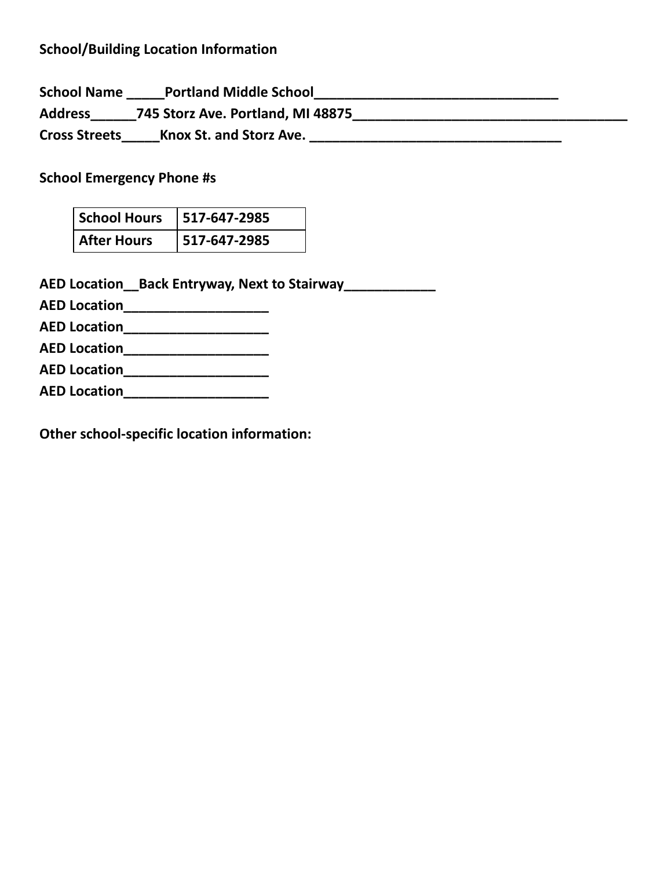## **School/Building Location Information**

**School Name \_\_\_\_\_Portland Middle School\_\_\_\_\_\_\_\_\_\_\_\_\_\_\_\_\_\_\_\_\_\_\_\_\_\_\_\_\_\_\_\_ Address\_\_\_\_\_\_745 Storz Ave. Portland, MI 48875\_\_\_\_\_\_\_\_\_\_\_\_\_\_\_\_\_\_\_\_\_\_\_\_\_\_\_\_\_\_\_\_\_\_\_\_ Cross Streets\_\_\_\_\_Knox St. and Storz Ave. \_\_\_\_\_\_\_\_\_\_\_\_\_\_\_\_\_\_\_\_\_\_\_\_\_\_\_\_\_\_\_\_\_**

**School Emergency Phone #s**

| School Hours       | $ 517-647-2985$ |
|--------------------|-----------------|
| <b>After Hours</b> | $ 517-647-2985$ |

**AED Location\_\_Back Entryway, Next to Stairway\_\_\_\_\_\_\_\_\_\_\_\_**

**AED Location\_\_\_\_\_\_\_\_\_\_\_\_\_\_\_\_\_\_\_**

**AED Location\_\_\_\_\_\_\_\_\_\_\_\_\_\_\_\_\_\_\_**

**AED Location\_\_\_\_\_\_\_\_\_\_\_\_\_\_\_\_\_\_\_**

**AED Location\_\_\_\_\_\_\_\_\_\_\_\_\_\_\_\_\_\_\_**

**AED Location\_\_\_\_\_\_\_\_\_\_\_\_\_\_\_\_\_\_\_**

**Other school-specific location information:**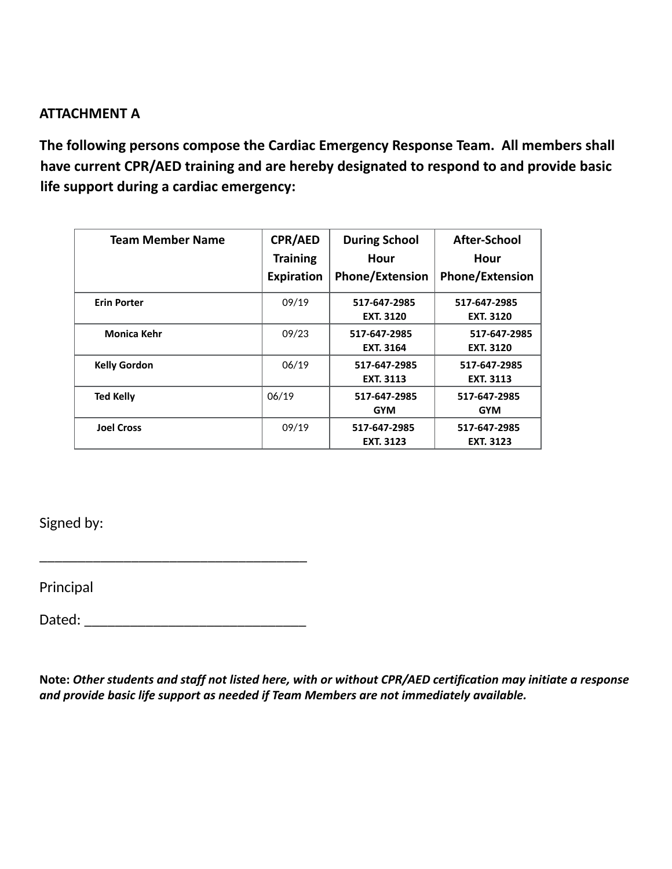## **ATTACHMENT A**

**The following persons compose the Cardiac Emergency Response Team. All members shall have current CPR/AED training and are hereby designated to respond to and provide basic life support during a cardiac emergency:**

| <b>Team Member Name</b> | <b>CPR/AED</b><br><b>Training</b><br><b>Expiration</b> | <b>During School</b><br>Hour<br><b>Phone/Extension</b> | <b>After-School</b><br>Hour<br><b>Phone/Extension</b> |
|-------------------------|--------------------------------------------------------|--------------------------------------------------------|-------------------------------------------------------|
| <b>Erin Porter</b>      | 09/19                                                  | 517-647-2985<br><b>EXT. 3120</b>                       | 517-647-2985<br><b>EXT. 3120</b>                      |
| <b>Monica Kehr</b>      | 09/23                                                  | 517-647-2985<br><b>EXT. 3164</b>                       | 517-647-2985<br><b>EXT. 3120</b>                      |
| <b>Kelly Gordon</b>     | 06/19                                                  | 517-647-2985<br><b>EXT. 3113</b>                       | 517-647-2985<br><b>EXT. 3113</b>                      |
| <b>Ted Kelly</b>        | 06/19                                                  | 517-647-2985<br><b>GYM</b>                             | 517-647-2985<br><b>GYM</b>                            |
| <b>Joel Cross</b>       | 09/19                                                  | 517-647-2985<br><b>EXT. 3123</b>                       | 517-647-2985<br><b>EXT. 3123</b>                      |

Signed by:

Principal

Dated: \_\_\_\_\_\_\_\_\_\_\_\_\_\_\_\_\_\_\_\_\_\_\_\_\_\_\_\_\_

\_\_\_\_\_\_\_\_\_\_\_\_\_\_\_\_\_\_\_\_\_\_\_\_\_\_\_\_\_\_\_\_\_\_\_

**Note:** *Other students and staff not listed here, with or without CPR/AED certification may initiate a response and provide basic life support as needed if Team Members are not immediately available.*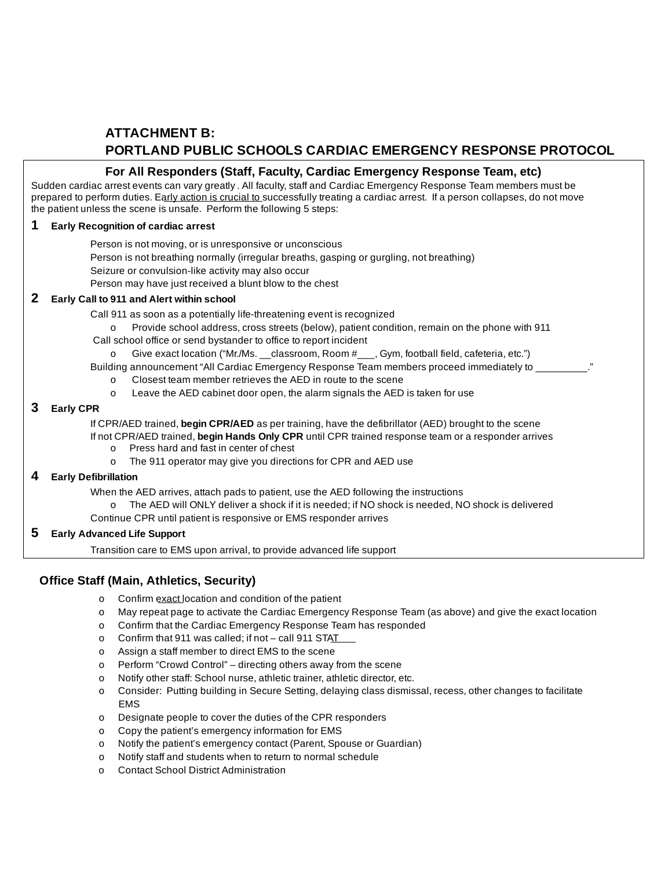## **ATTACHMENT B: PORTLAND PUBLIC SCHOOLS CARDIAC EMERGENCY RESPONSE PROTOCOL**

### **For All Responders (Staff, Faculty, Cardiac Emergency Response Team, etc)**

Sudden cardiac arrest events can vary greatly . All faculty, staff and Cardiac Emergency Response Team members must be prepared to perform duties. Early action is crucial to successfully treating a cardiac arrest. If a person collapses, do not move the patient unless the scene is unsafe. Perform the following 5 steps:

#### **1 Early Recognition of cardiac arrest**

Person is not moving, or is unresponsive or unconscious

- Person is not breathing normally (irregular breaths, gasping or gurgling, not breathing)
- Seizure or convulsion-like activity may also occur

Person may have just received a blunt blow to the chest

#### **2 Early Call to 911 and Alert within school**

Call 911 as soon as a potentially life-threatening event is recognized

- o Provide school address, cross streets (below), patient condition, remain on the phone with 911
- Call school office or send bystander to office to report incident
	- o Give exact location ("Mr./Ms. \_\_classroom, Room #\_\_\_, Gym, football field, cafeteria, etc.")
- Building announcement "All Cardiac Emergency Response Team members proceed immediately to
	- o Closest team member retrieves the AED in route to the scene
	- o Leave the AED cabinet door open, the alarm signals the AED is taken for use

#### **3 Early CPR**

If CPR/AED trained, **begin CPR/AED** as per training, have the defibrillator (AED) brought to the scene If not CPR/AED trained, **begin Hands Only CPR** until CPR trained response team or a responder arrives

- o Press hard and fast in center of chest
- o The 911 operator may give you directions for CPR and AED use

#### **4 Early Defibrillation**

When the AED arrives, attach pads to patient, use the AED following the instructions

- o The AED will ONLY deliver a shock if it is needed; if NO shock is needed, NO shock is delivered
- Continue CPR until patient is responsive or EMS responder arrives

#### **5 Early Advanced Life Support**

Transition care to EMS upon arrival, to provide advanced life support

### **Office Staff (Main, Athletics, Security)**

- o Confirm exact location and condition of the patient
- o May repeat page to activate the Cardiac Emergency Response Team (as above) and give the exact location
- o Confirm that the Cardiac Emergency Response Team has responded
- o Confirm that 911 was called; if not call 911 STAT
- o Assign a staff member to direct EMS to the scene
- o Perform "Crowd Control" directing others away from the scene
- o Notify other staff: School nurse, athletic trainer, athletic director, etc.
- o Consider: Putting building in Secure Setting, delaying class dismissal, recess, other changes to facilitate EMS
- o Designate people to cover the duties of the CPR responders
- o Copy the patient's emergency information for EMS
- o Notify the patient's emergency contact (Parent, Spouse or Guardian)
- o Notify staff and students when to return to normal schedule
- o Contact School District Administration